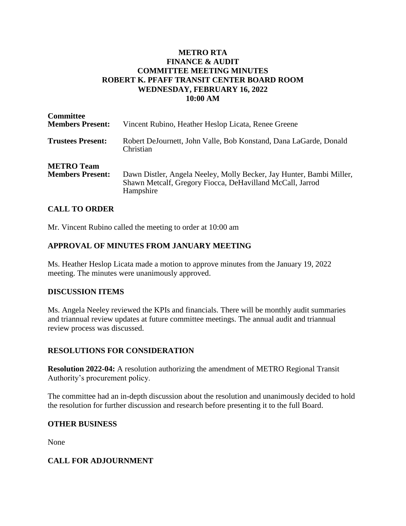# **METRO RTA FINANCE & AUDIT COMMITTEE MEETING MINUTES ROBERT K. PFAFF TRANSIT CENTER BOARD ROOM WEDNESDAY, FEBRUARY 16, 2022 10:00 AM**

| <b>Committee</b><br><b>Members Present:</b>  | Vincent Rubino, Heather Heslop Licata, Renee Greene                                                                                            |
|----------------------------------------------|------------------------------------------------------------------------------------------------------------------------------------------------|
| <b>Trustees Present:</b>                     | Robert DeJournett, John Valle, Bob Konstand, Dana LaGarde, Donald<br>Christian                                                                 |
| <b>METRO Team</b><br><b>Members Present:</b> | Dawn Distler, Angela Neeley, Molly Becker, Jay Hunter, Bambi Miller,<br>Shawn Metcalf, Gregory Fiocca, DeHavilland McCall, Jarrod<br>Hampshire |

# **CALL TO ORDER**

Mr. Vincent Rubino called the meeting to order at 10:00 am

# **APPROVAL OF MINUTES FROM JANUARY MEETING**

Ms. Heather Heslop Licata made a motion to approve minutes from the January 19, 2022 meeting. The minutes were unanimously approved.

### **DISCUSSION ITEMS**

Ms. Angela Neeley reviewed the KPIs and financials. There will be monthly audit summaries and triannual review updates at future committee meetings. The annual audit and triannual review process was discussed.

### **RESOLUTIONS FOR CONSIDERATION**

**Resolution 2022-04:** A resolution authorizing the amendment of METRO Regional Transit Authority's procurement policy.

The committee had an in-depth discussion about the resolution and unanimously decided to hold the resolution for further discussion and research before presenting it to the full Board.

### **OTHER BUSINESS**

None

### **CALL FOR ADJOURNMENT**